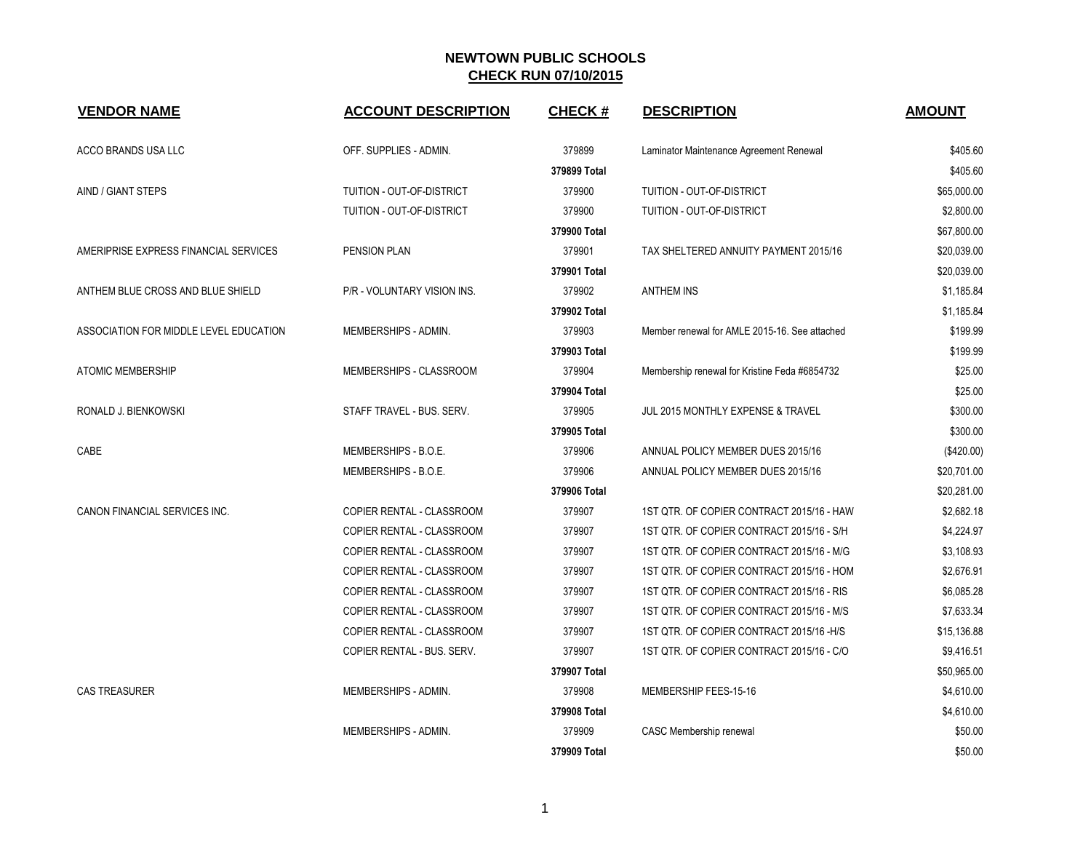| <b>VENDOR NAME</b>                     | <b>ACCOUNT DESCRIPTION</b>  | <b>CHECK#</b> | <b>DESCRIPTION</b>                            | <b>AMOUNT</b> |
|----------------------------------------|-----------------------------|---------------|-----------------------------------------------|---------------|
| ACCO BRANDS USA LLC                    | OFF. SUPPLIES - ADMIN.      | 379899        | Laminator Maintenance Agreement Renewal       | \$405.60      |
|                                        |                             | 379899 Total  |                                               | \$405.60      |
| AIND / GIANT STEPS                     | TUITION - OUT-OF-DISTRICT   | 379900        | TUITION - OUT-OF-DISTRICT                     | \$65,000.00   |
|                                        | TUITION - OUT-OF-DISTRICT   | 379900        | TUITION - OUT-OF-DISTRICT                     | \$2,800.00    |
|                                        |                             | 379900 Total  |                                               | \$67,800.00   |
| AMERIPRISE EXPRESS FINANCIAL SERVICES  | PENSION PLAN                | 379901        | TAX SHELTERED ANNUITY PAYMENT 2015/16         | \$20,039.00   |
|                                        |                             | 379901 Total  |                                               | \$20,039.00   |
| ANTHEM BLUE CROSS AND BLUE SHIELD      | P/R - VOLUNTARY VISION INS. | 379902        | <b>ANTHEM INS</b>                             | \$1,185.84    |
|                                        |                             | 379902 Total  |                                               | \$1,185.84    |
| ASSOCIATION FOR MIDDLE LEVEL EDUCATION | MEMBERSHIPS - ADMIN.        | 379903        | Member renewal for AMLE 2015-16. See attached | \$199.99      |
|                                        |                             | 379903 Total  |                                               | \$199.99      |
| <b>ATOMIC MEMBERSHIP</b>               | MEMBERSHIPS - CLASSROOM     | 379904        | Membership renewal for Kristine Feda #6854732 | \$25.00       |
|                                        |                             | 379904 Total  |                                               | \$25.00       |
| RONALD J. BIENKOWSKI                   | STAFF TRAVEL - BUS. SERV.   | 379905        | JUL 2015 MONTHLY EXPENSE & TRAVEL             | \$300.00      |
|                                        |                             | 379905 Total  |                                               | \$300.00      |
| CABE                                   | MEMBERSHIPS - B.O.E.        | 379906        | ANNUAL POLICY MEMBER DUES 2015/16             | (\$420.00)    |
|                                        | MEMBERSHIPS - B.O.E.        | 379906        | ANNUAL POLICY MEMBER DUES 2015/16             | \$20,701.00   |
|                                        |                             | 379906 Total  |                                               | \$20,281.00   |
| CANON FINANCIAL SERVICES INC.          | COPIER RENTAL - CLASSROOM   | 379907        | 1ST QTR. OF COPIER CONTRACT 2015/16 - HAW     | \$2,682.18    |
|                                        | COPIER RENTAL - CLASSROOM   | 379907        | 1ST QTR. OF COPIER CONTRACT 2015/16 - S/H     | \$4,224.97    |
|                                        | COPIER RENTAL - CLASSROOM   | 379907        | 1ST QTR. OF COPIER CONTRACT 2015/16 - M/G     | \$3,108.93    |
|                                        | COPIER RENTAL - CLASSROOM   | 379907        | 1ST QTR. OF COPIER CONTRACT 2015/16 - HOM     | \$2,676.91    |
|                                        | COPIER RENTAL - CLASSROOM   | 379907        | 1ST QTR. OF COPIER CONTRACT 2015/16 - RIS     | \$6,085.28    |
|                                        | COPIER RENTAL - CLASSROOM   | 379907        | 1ST QTR. OF COPIER CONTRACT 2015/16 - M/S     | \$7,633.34    |
|                                        | COPIER RENTAL - CLASSROOM   | 379907        | 1ST QTR. OF COPIER CONTRACT 2015/16 - H/S     | \$15,136.88   |
|                                        | COPIER RENTAL - BUS. SERV.  | 379907        | 1ST QTR. OF COPIER CONTRACT 2015/16 - C/O     | \$9,416.51    |
|                                        |                             | 379907 Total  |                                               | \$50,965.00   |
| <b>CAS TREASURER</b>                   | MEMBERSHIPS - ADMIN.        | 379908        | MEMBERSHIP FEES-15-16                         | \$4,610.00    |
|                                        |                             | 379908 Total  |                                               | \$4,610.00    |
|                                        | MEMBERSHIPS - ADMIN.        | 379909        | CASC Membership renewal                       | \$50.00       |
|                                        |                             | 379909 Total  |                                               | \$50.00       |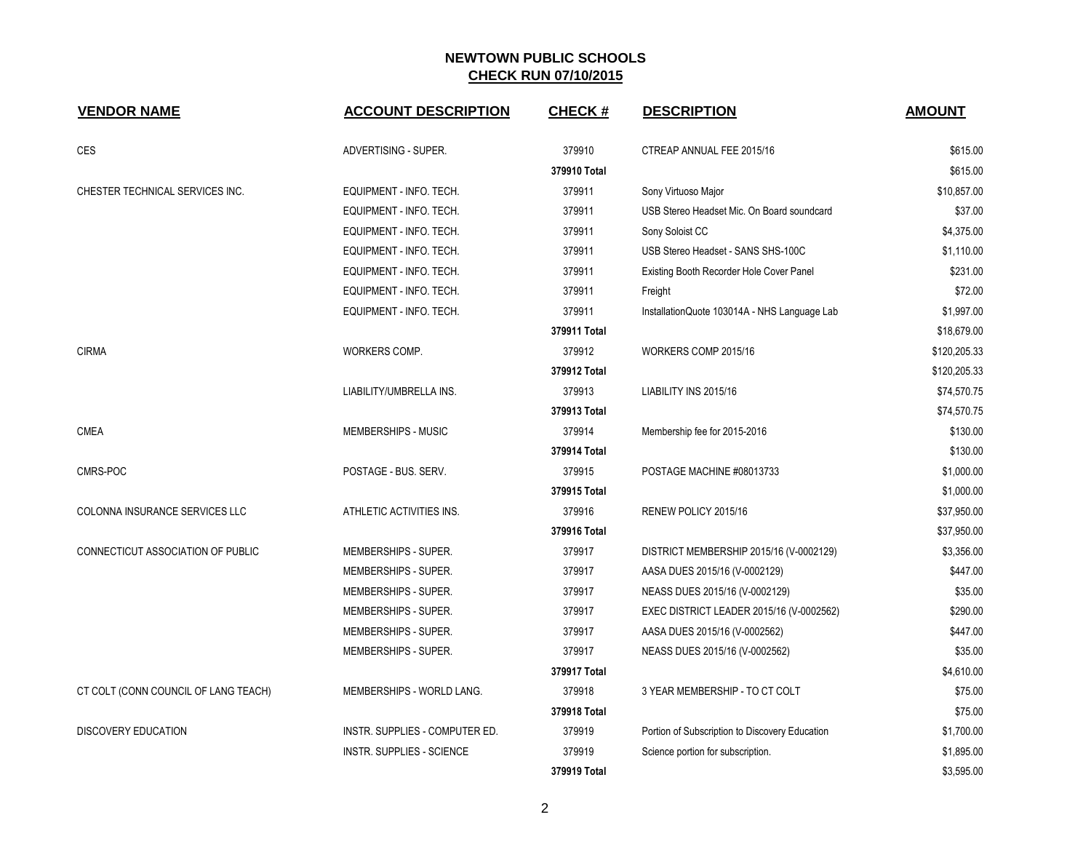| <b>VENDOR NAME</b>                   | <b>ACCOUNT DESCRIPTION</b>       | <b>CHECK#</b> | <b>DESCRIPTION</b>                             | <b>AMOUNT</b> |
|--------------------------------------|----------------------------------|---------------|------------------------------------------------|---------------|
| <b>CES</b>                           | ADVERTISING - SUPER.             | 379910        | CTREAP ANNUAL FEE 2015/16                      | \$615.00      |
|                                      |                                  | 379910 Total  |                                                | \$615.00      |
| CHESTER TECHNICAL SERVICES INC.      | EQUIPMENT - INFO. TECH.          | 379911        | Sony Virtuoso Major                            | \$10,857.00   |
|                                      | EQUIPMENT - INFO. TECH.          | 379911        | USB Stereo Headset Mic. On Board soundcard     | \$37.00       |
|                                      | EQUIPMENT - INFO. TECH.          | 379911        | Sony Soloist CC                                | \$4,375.00    |
|                                      | EQUIPMENT - INFO. TECH.          | 379911        | USB Stereo Headset - SANS SHS-100C             | \$1,110.00    |
|                                      | EQUIPMENT - INFO. TECH.          | 379911        | Existing Booth Recorder Hole Cover Panel       | \$231.00      |
|                                      | EQUIPMENT - INFO. TECH.          | 379911        | Freight                                        | \$72.00       |
|                                      | EQUIPMENT - INFO. TECH.          | 379911        | InstallationQuote 103014A - NHS Language Lab   | \$1,997.00    |
|                                      |                                  | 379911 Total  |                                                | \$18,679.00   |
| <b>CIRMA</b>                         | WORKERS COMP.                    | 379912        | WORKERS COMP 2015/16                           | \$120,205.33  |
|                                      |                                  | 379912 Total  |                                                | \$120,205.33  |
|                                      | LIABILITY/UMBRELLA INS.          | 379913        | LIABILITY INS 2015/16                          | \$74,570.75   |
|                                      |                                  | 379913 Total  |                                                | \$74,570.75   |
| <b>CMEA</b>                          | MEMBERSHIPS - MUSIC              | 379914        | Membership fee for 2015-2016                   | \$130.00      |
|                                      |                                  | 379914 Total  |                                                | \$130.00      |
| CMRS-POC                             | POSTAGE - BUS. SERV.             | 379915        | POSTAGE MACHINE #08013733                      | \$1,000.00    |
|                                      |                                  | 379915 Total  |                                                | \$1,000.00    |
| COLONNA INSURANCE SERVICES LLC       | ATHLETIC ACTIVITIES INS.         | 379916        | RENEW POLICY 2015/16                           | \$37,950.00   |
|                                      |                                  | 379916 Total  |                                                | \$37,950.00   |
| CONNECTICUT ASSOCIATION OF PUBLIC    | MEMBERSHIPS - SUPER.             | 379917        | DISTRICT MEMBERSHIP 2015/16 (V-0002129)        | \$3,356.00    |
|                                      | MEMBERSHIPS - SUPER.             | 379917        | AASA DUES 2015/16 (V-0002129)                  | \$447.00      |
|                                      | MEMBERSHIPS - SUPER.             | 379917        | NEASS DUES 2015/16 (V-0002129)                 | \$35.00       |
|                                      | MEMBERSHIPS - SUPER.             | 379917        | EXEC DISTRICT LEADER 2015/16 (V-0002562)       | \$290.00      |
|                                      | MEMBERSHIPS - SUPER.             | 379917        | AASA DUES 2015/16 (V-0002562)                  | \$447.00      |
|                                      | MEMBERSHIPS - SUPER.             | 379917        | NEASS DUES 2015/16 (V-0002562)                 | \$35.00       |
|                                      |                                  | 379917 Total  |                                                | \$4,610.00    |
| CT COLT (CONN COUNCIL OF LANG TEACH) | MEMBERSHIPS - WORLD LANG.        | 379918        | 3 YEAR MEMBERSHIP - TO CT COLT                 | \$75.00       |
|                                      |                                  | 379918 Total  |                                                | \$75.00       |
| DISCOVERY EDUCATION                  | INSTR. SUPPLIES - COMPUTER ED.   | 379919        | Portion of Subscription to Discovery Education | \$1,700.00    |
|                                      | <b>INSTR. SUPPLIES - SCIENCE</b> | 379919        | Science portion for subscription.              | \$1,895.00    |
|                                      |                                  | 379919 Total  |                                                | \$3,595.00    |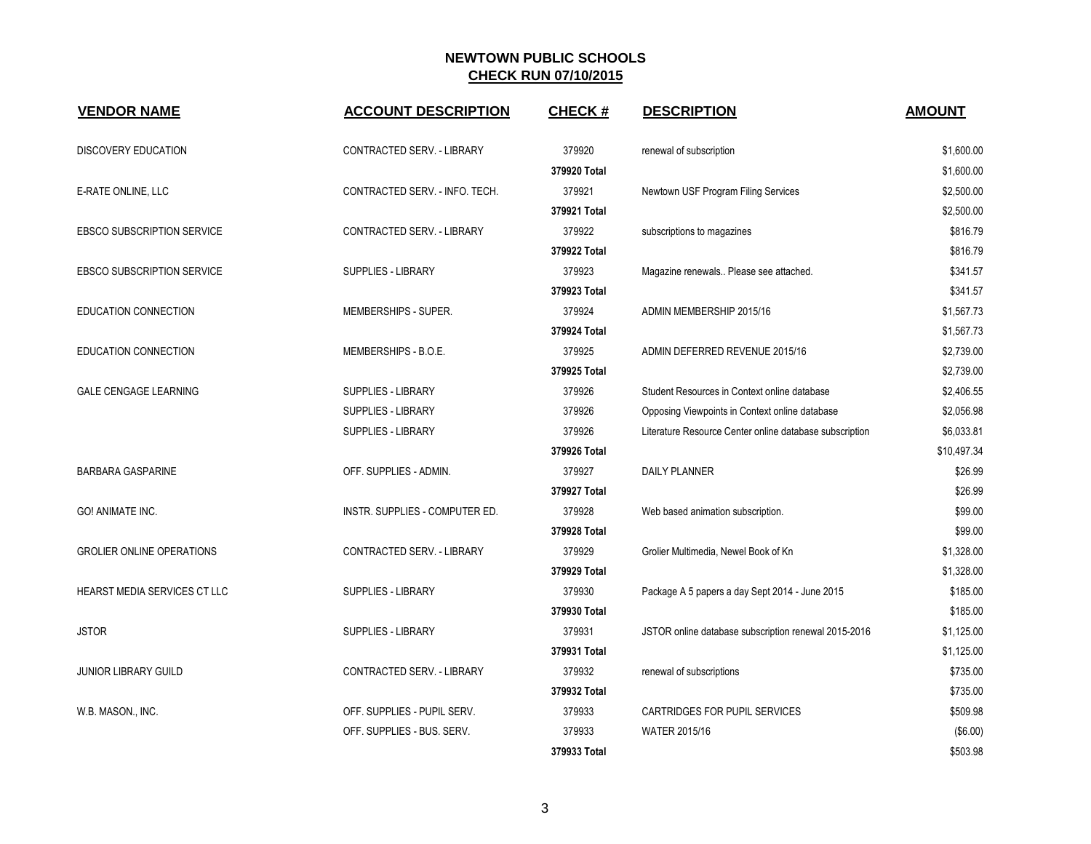| <b>VENDOR NAME</b>                | <b>ACCOUNT DESCRIPTION</b>     | <b>CHECK#</b> | <b>DESCRIPTION</b>                                      | <b>AMOUNT</b> |
|-----------------------------------|--------------------------------|---------------|---------------------------------------------------------|---------------|
| <b>DISCOVERY EDUCATION</b>        | CONTRACTED SERV. - LIBRARY     | 379920        | renewal of subscription                                 | \$1,600.00    |
|                                   |                                | 379920 Total  |                                                         | \$1,600.00    |
| E-RATE ONLINE, LLC                | CONTRACTED SERV. - INFO. TECH. | 379921        | Newtown USF Program Filing Services                     | \$2,500.00    |
|                                   |                                | 379921 Total  |                                                         | \$2,500.00    |
| EBSCO SUBSCRIPTION SERVICE        | CONTRACTED SERV. - LIBRARY     | 379922        | subscriptions to magazines                              | \$816.79      |
|                                   |                                | 379922 Total  |                                                         | \$816.79      |
| <b>EBSCO SUBSCRIPTION SERVICE</b> | <b>SUPPLIES - LIBRARY</b>      | 379923        | Magazine renewals Please see attached.                  | \$341.57      |
|                                   |                                | 379923 Total  |                                                         | \$341.57      |
| EDUCATION CONNECTION              | MEMBERSHIPS - SUPER.           | 379924        | ADMIN MEMBERSHIP 2015/16                                | \$1,567.73    |
|                                   |                                | 379924 Total  |                                                         | \$1,567.73    |
| EDUCATION CONNECTION              | MEMBERSHIPS - B.O.E.           | 379925        | ADMIN DEFERRED REVENUE 2015/16                          | \$2,739.00    |
|                                   |                                | 379925 Total  |                                                         | \$2,739.00    |
| <b>GALE CENGAGE LEARNING</b>      | <b>SUPPLIES - LIBRARY</b>      | 379926        | Student Resources in Context online database            | \$2,406.55    |
|                                   | <b>SUPPLIES - LIBRARY</b>      | 379926        | Opposing Viewpoints in Context online database          | \$2,056.98    |
|                                   | <b>SUPPLIES - LIBRARY</b>      | 379926        | Literature Resource Center online database subscription | \$6,033.81    |
|                                   |                                | 379926 Total  |                                                         | \$10,497.34   |
| <b>BARBARA GASPARINE</b>          | OFF. SUPPLIES - ADMIN.         | 379927        | <b>DAILY PLANNER</b>                                    | \$26.99       |
|                                   |                                | 379927 Total  |                                                         | \$26.99       |
| <b>GO! ANIMATE INC.</b>           | INSTR. SUPPLIES - COMPUTER ED. | 379928        | Web based animation subscription.                       | \$99.00       |
|                                   |                                | 379928 Total  |                                                         | \$99.00       |
| <b>GROLIER ONLINE OPERATIONS</b>  | CONTRACTED SERV. - LIBRARY     | 379929        | Grolier Multimedia, Newel Book of Kn                    | \$1,328.00    |
|                                   |                                | 379929 Total  |                                                         | \$1,328.00    |
| HEARST MEDIA SERVICES CT LLC      | <b>SUPPLIES - LIBRARY</b>      | 379930        | Package A 5 papers a day Sept 2014 - June 2015          | \$185.00      |
|                                   |                                | 379930 Total  |                                                         | \$185.00      |
| <b>JSTOR</b>                      | <b>SUPPLIES - LIBRARY</b>      | 379931        | JSTOR online database subscription renewal 2015-2016    | \$1,125.00    |
|                                   |                                | 379931 Total  |                                                         | \$1,125.00    |
| <b>JUNIOR LIBRARY GUILD</b>       | CONTRACTED SERV. - LIBRARY     | 379932        | renewal of subscriptions                                | \$735.00      |
|                                   |                                | 379932 Total  |                                                         | \$735.00      |
| W.B. MASON., INC.                 | OFF. SUPPLIES - PUPIL SERV.    | 379933        | CARTRIDGES FOR PUPIL SERVICES                           | \$509.98      |
|                                   | OFF. SUPPLIES - BUS. SERV.     | 379933        | <b>WATER 2015/16</b>                                    | (\$6.00)      |
|                                   |                                | 379933 Total  |                                                         | \$503.98      |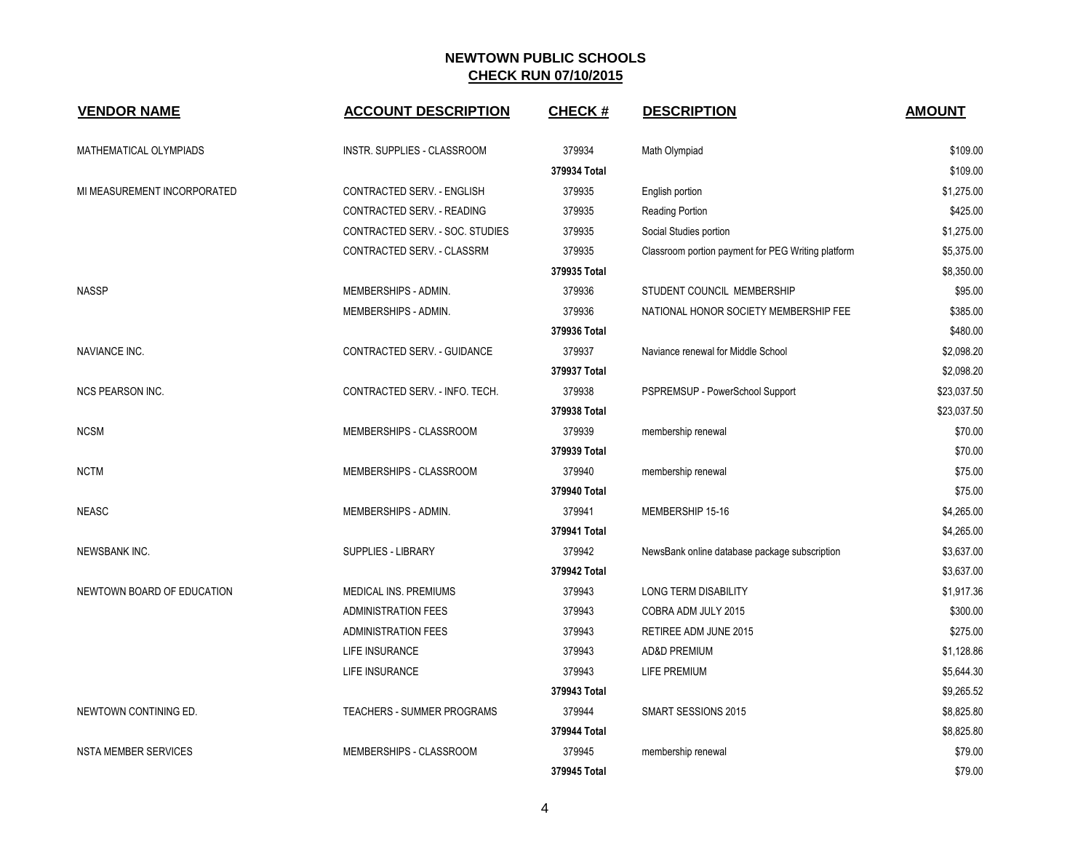| <b>VENDOR NAME</b>          | <b>ACCOUNT DESCRIPTION</b>      | <b>CHECK#</b> | <b>DESCRIPTION</b>                                 | <b>AMOUNT</b> |
|-----------------------------|---------------------------------|---------------|----------------------------------------------------|---------------|
| MATHEMATICAL OLYMPIADS      | INSTR. SUPPLIES - CLASSROOM     | 379934        | Math Olympiad                                      | \$109.00      |
|                             |                                 | 379934 Total  |                                                    | \$109.00      |
| MI MEASUREMENT INCORPORATED | CONTRACTED SERV. - ENGLISH      | 379935        | English portion                                    | \$1,275.00    |
|                             | CONTRACTED SERV. - READING      | 379935        | <b>Reading Portion</b>                             | \$425.00      |
|                             | CONTRACTED SERV. - SOC. STUDIES | 379935        | Social Studies portion                             | \$1,275.00    |
|                             | CONTRACTED SERV. - CLASSRM      | 379935        | Classroom portion payment for PEG Writing platform | \$5,375.00    |
|                             |                                 | 379935 Total  |                                                    | \$8,350.00    |
| <b>NASSP</b>                | MEMBERSHIPS - ADMIN.            | 379936        | STUDENT COUNCIL MEMBERSHIP                         | \$95.00       |
|                             | MEMBERSHIPS - ADMIN.            | 379936        | NATIONAL HONOR SOCIETY MEMBERSHIP FEE              | \$385.00      |
|                             |                                 | 379936 Total  |                                                    | \$480.00      |
| NAVIANCE INC.               | CONTRACTED SERV. - GUIDANCE     | 379937        | Naviance renewal for Middle School                 | \$2,098.20    |
|                             |                                 | 379937 Total  |                                                    | \$2,098.20    |
| NCS PEARSON INC.            | CONTRACTED SERV. - INFO. TECH.  | 379938        | PSPREMSUP - PowerSchool Support                    | \$23,037.50   |
|                             |                                 | 379938 Total  |                                                    | \$23,037.50   |
| <b>NCSM</b>                 | MEMBERSHIPS - CLASSROOM         | 379939        | membership renewal                                 | \$70.00       |
|                             |                                 | 379939 Total  |                                                    | \$70.00       |
| <b>NCTM</b>                 | MEMBERSHIPS - CLASSROOM         | 379940        | membership renewal                                 | \$75.00       |
|                             |                                 | 379940 Total  |                                                    | \$75.00       |
| <b>NEASC</b>                | MEMBERSHIPS - ADMIN.            | 379941        | MEMBERSHIP 15-16                                   | \$4,265.00    |
|                             |                                 | 379941 Total  |                                                    | \$4,265.00    |
| NEWSBANK INC.               | SUPPLIES - LIBRARY              | 379942        | NewsBank online database package subscription      | \$3,637.00    |
|                             |                                 | 379942 Total  |                                                    | \$3,637.00    |
| NEWTOWN BOARD OF EDUCATION  | <b>MEDICAL INS. PREMIUMS</b>    | 379943        | <b>LONG TERM DISABILITY</b>                        | \$1,917.36    |
|                             | <b>ADMINISTRATION FEES</b>      | 379943        | COBRA ADM JULY 2015                                | \$300.00      |
|                             | ADMINISTRATION FEES             | 379943        | RETIREE ADM JUNE 2015                              | \$275.00      |
|                             | LIFE INSURANCE                  | 379943        | <b>AD&amp;D PREMIUM</b>                            | \$1,128.86    |
|                             | LIFE INSURANCE                  | 379943        | LIFE PREMIUM                                       | \$5,644.30    |
|                             |                                 | 379943 Total  |                                                    | \$9,265.52    |
| NEWTOWN CONTINING ED.       | TEACHERS - SUMMER PROGRAMS      | 379944        | SMART SESSIONS 2015                                | \$8,825.80    |
|                             |                                 | 379944 Total  |                                                    | \$8,825.80    |
| <b>NSTA MEMBER SERVICES</b> | MEMBERSHIPS - CLASSROOM         | 379945        | membership renewal                                 | \$79.00       |
|                             |                                 | 379945 Total  |                                                    | \$79.00       |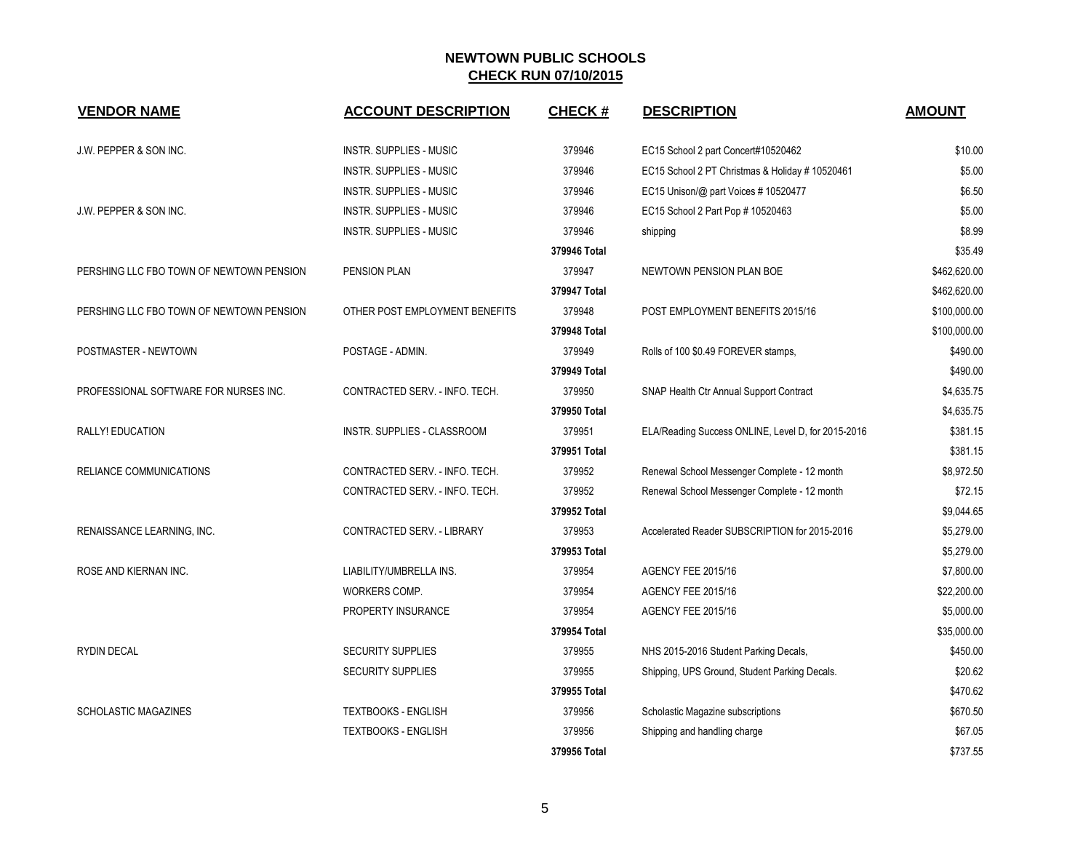| <b>VENDOR NAME</b>                       | <b>ACCOUNT DESCRIPTION</b>         | <b>CHECK#</b> | <b>DESCRIPTION</b>                                 | <b>AMOUNT</b> |
|------------------------------------------|------------------------------------|---------------|----------------------------------------------------|---------------|
| J.W. PEPPER & SON INC.                   | <b>INSTR. SUPPLIES - MUSIC</b>     | 379946        | EC15 School 2 part Concert#10520462                | \$10.00       |
|                                          | <b>INSTR. SUPPLIES - MUSIC</b>     | 379946        | EC15 School 2 PT Christmas & Holiday # 10520461    | \$5.00        |
|                                          | INSTR. SUPPLIES - MUSIC            | 379946        | EC15 Unison/@ part Voices #10520477                | \$6.50        |
| J.W. PEPPER & SON INC.                   | INSTR. SUPPLIES - MUSIC            | 379946        | EC15 School 2 Part Pop # 10520463                  | \$5.00        |
|                                          | INSTR. SUPPLIES - MUSIC            | 379946        | shipping                                           | \$8.99        |
|                                          |                                    | 379946 Total  |                                                    | \$35.49       |
| PERSHING LLC FBO TOWN OF NEWTOWN PENSION | <b>PENSION PLAN</b>                | 379947        | NEWTOWN PENSION PLAN BOE                           | \$462,620.00  |
|                                          |                                    | 379947 Total  |                                                    | \$462,620.00  |
| PERSHING LLC FBO TOWN OF NEWTOWN PENSION | OTHER POST EMPLOYMENT BENEFITS     | 379948        | POST EMPLOYMENT BENEFITS 2015/16                   | \$100,000.00  |
|                                          |                                    | 379948 Total  |                                                    | \$100,000.00  |
| POSTMASTER - NEWTOWN                     | POSTAGE - ADMIN.                   | 379949        | Rolls of 100 \$0.49 FOREVER stamps,                | \$490.00      |
|                                          |                                    | 379949 Total  |                                                    | \$490.00      |
| PROFESSIONAL SOFTWARE FOR NURSES INC.    | CONTRACTED SERV. - INFO. TECH.     | 379950        | SNAP Health Ctr Annual Support Contract            | \$4,635.75    |
|                                          |                                    | 379950 Total  |                                                    | \$4,635.75    |
| <b>RALLY! EDUCATION</b>                  | <b>INSTR. SUPPLIES - CLASSROOM</b> | 379951        | ELA/Reading Success ONLINE, Level D, for 2015-2016 | \$381.15      |
|                                          |                                    | 379951 Total  |                                                    | \$381.15      |
| RELIANCE COMMUNICATIONS                  | CONTRACTED SERV. - INFO. TECH.     | 379952        | Renewal School Messenger Complete - 12 month       | \$8,972.50    |
|                                          | CONTRACTED SERV. - INFO. TECH.     | 379952        | Renewal School Messenger Complete - 12 month       | \$72.15       |
|                                          |                                    | 379952 Total  |                                                    | \$9,044.65    |
| RENAISSANCE LEARNING, INC.               | CONTRACTED SERV. - LIBRARY         | 379953        | Accelerated Reader SUBSCRIPTION for 2015-2016      | \$5,279.00    |
|                                          |                                    | 379953 Total  |                                                    | \$5,279.00    |
| ROSE AND KIERNAN INC.                    | LIABILITY/UMBRELLA INS.            | 379954        | AGENCY FEE 2015/16                                 | \$7,800.00    |
|                                          | WORKERS COMP.                      | 379954        | AGENCY FEE 2015/16                                 | \$22,200.00   |
|                                          | PROPERTY INSURANCE                 | 379954        | AGENCY FEE 2015/16                                 | \$5,000.00    |
|                                          |                                    | 379954 Total  |                                                    | \$35,000.00   |
| <b>RYDIN DECAL</b>                       | <b>SECURITY SUPPLIES</b>           | 379955        | NHS 2015-2016 Student Parking Decals,              | \$450.00      |
|                                          | <b>SECURITY SUPPLIES</b>           | 379955        | Shipping, UPS Ground, Student Parking Decals.      | \$20.62       |
|                                          |                                    | 379955 Total  |                                                    | \$470.62      |
| <b>SCHOLASTIC MAGAZINES</b>              | <b>TEXTBOOKS - ENGLISH</b>         | 379956        | Scholastic Magazine subscriptions                  | \$670.50      |
|                                          | <b>TEXTBOOKS - ENGLISH</b>         | 379956        | Shipping and handling charge                       | \$67.05       |
|                                          |                                    | 379956 Total  |                                                    | \$737.55      |